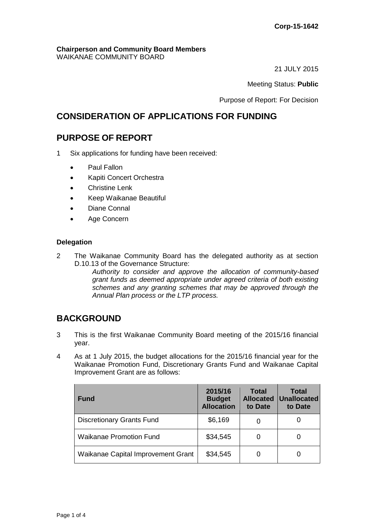#### **Chairperson and Community Board Members** WAIKANAE COMMUNITY BOARD

21 JULY 2015

## Meeting Status: **Public**

Purpose of Report: For Decision

# **CONSIDERATION OF APPLICATIONS FOR FUNDING**

# **PURPOSE OF REPORT**

- 1 Six applications for funding have been received:
	- Paul Fallon
	- Kapiti Concert Orchestra
	- Christine Lenk
	- Keep Waikanae Beautiful
	- Diane Connal
	- Age Concern

## **Delegation**

2 The Waikanae Community Board has the delegated authority as at section D.10.13 of the Governance Structure:

*Authority to consider and approve the allocation of community-based grant funds as deemed appropriate under agreed criteria of both existing schemes and any granting schemes that may be approved through the Annual Plan process or the LTP process.* 

# **BACKGROUND**

- 3 This is the first Waikanae Community Board meeting of the 2015/16 financial year.
- 4 As at 1 July 2015, the budget allocations for the 2015/16 financial year for the Waikanae Promotion Fund, Discretionary Grants Fund and Waikanae Capital Improvement Grant are as follows:

| <b>Fund</b>                        | 2015/16<br><b>Budget</b><br><b>Allocation</b> | <b>Total</b><br><b>Allocated</b><br>to Date | Total<br>Unallocated<br>to Date |
|------------------------------------|-----------------------------------------------|---------------------------------------------|---------------------------------|
| <b>Discretionary Grants Fund</b>   | \$6,169                                       |                                             |                                 |
| <b>Waikanae Promotion Fund</b>     | \$34,545                                      |                                             |                                 |
| Waikanae Capital Improvement Grant | \$34,545                                      |                                             |                                 |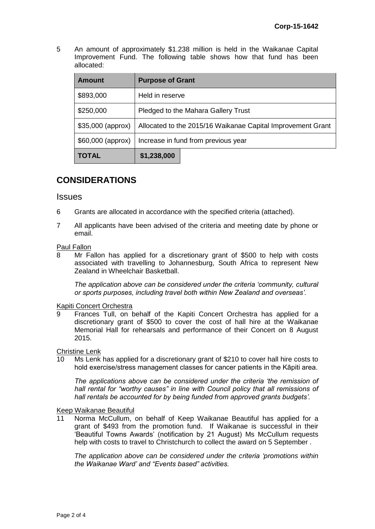5 An amount of approximately \$1.238 million is held in the Waikanae Capital Improvement Fund. The following table shows how that fund has been allocated:

| <b>Amount</b>      | <b>Purpose of Grant</b>                                     |  |  |
|--------------------|-------------------------------------------------------------|--|--|
| \$893,000          | Held in reserve                                             |  |  |
| \$250,000          | Pledged to the Mahara Gallery Trust                         |  |  |
| $$35,000$ (approx) | Allocated to the 2015/16 Waikanae Capital Improvement Grant |  |  |
| $$60,000$ (approx) | Increase in fund from previous year                         |  |  |
| <b>TOTAL</b>       | \$1,238,000                                                 |  |  |

# **CONSIDERATIONS**

## **Issues**

- 6 Grants are allocated in accordance with the specified criteria (attached).
- 7 All applicants have been advised of the criteria and meeting date by phone or email.

## Paul Fallon

8 Mr Fallon has applied for a discretionary grant of \$500 to help with costs associated with travelling to Johannesburg, South Africa to represent New Zealand in Wheelchair Basketball.

*The application above can be considered under the criteria 'community, cultural or sports purposes, including travel both within New Zealand and overseas'.*

## Kapiti Concert Orchestra

9 Frances Tull, on behalf of the Kapiti Concert Orchestra has applied for a discretionary grant of \$500 to cover the cost of hall hire at the Waikanae Memorial Hall for rehearsals and performance of their Concert on 8 August 2015.

Christine Lenk

10 Ms Lenk has applied for a discretionary grant of \$210 to cover hall hire costs to hold exercise/stress management classes for cancer patients in the Kāpiti area.

*The applications above can be considered under the criteria 'the remission of hall rental for "worthy causes" in line with Council policy that all remissions of hall rentals be accounted for by being funded from approved grants budgets'.*

## Keep Waikanae Beautiful

Norma McCullum, on behalf of Keep Waikanae Beautiful has applied for a grant of \$493 from the promotion fund. If Waikanae is successful in their 'Beautiful Towns Awards' (notification by 21 August) Ms McCullum requests help with costs to travel to Christchurch to collect the award on 5 September .

*The application above can be considered under the criteria 'promotions within the Waikanae Ward' and "Events based" activities.*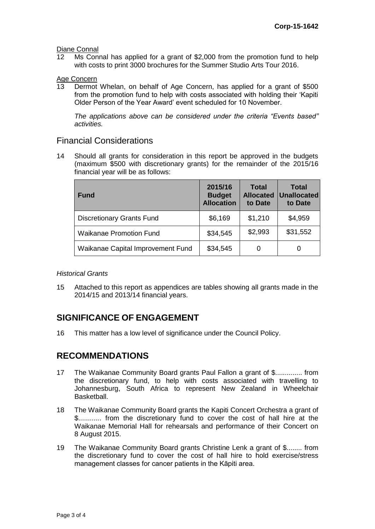Diane Connal<br>12 Ms Con

Ms Connal has applied for a grant of \$2,000 from the promotion fund to help with costs to print 3000 brochures for the Summer Studio Arts Tour 2016.

Age Concern<br>13 Dermot

Dermot Whelan, on behalf of Age Concern, has applied for a grant of \$500 from the promotion fund to help with costs associated with holding their 'Kapiti Older Person of the Year Award' event scheduled for 10 November.

*The applications above can be considered under the criteria "Events based" activities.*

## Financial Considerations

14 Should all grants for consideration in this report be approved in the budgets (maximum \$500 with discretionary grants) for the remainder of the 2015/16 financial year will be as follows:

| <b>Fund</b>                       | 2015/16<br><b>Budget</b><br><b>Allocation</b> | <b>Total</b><br><b>Allocated</b><br>to Date | <b>Total</b><br><b>Unallocated</b><br>to Date |
|-----------------------------------|-----------------------------------------------|---------------------------------------------|-----------------------------------------------|
| <b>Discretionary Grants Fund</b>  | \$6,169                                       | \$1,210                                     | \$4,959                                       |
| <b>Waikanae Promotion Fund</b>    | \$34,545                                      | \$2,993                                     | \$31,552                                      |
| Waikanae Capital Improvement Fund | \$34,545                                      | 0                                           | 0                                             |

## *Historical Grants*

15 Attached to this report as appendices are tables showing all grants made in the 2014/15 and 2013/14 financial years.

# **SIGNIFICANCE OF ENGAGEMENT**

16 This matter has a low level of significance under the Council Policy.

## **RECOMMENDATIONS**

- 17 The Waikanae Community Board grants Paul Fallon a grant of \$.............. from the discretionary fund, to help with costs associated with travelling to Johannesburg, South Africa to represent New Zealand in Wheelchair Basketball.
- 18 The Waikanae Community Board grants the Kapiti Concert Orchestra a grant of \$............ from the discretionary fund to cover the cost of hall hire at the Waikanae Memorial Hall for rehearsals and performance of their Concert on 8 August 2015.
- 19 The Waikanae Community Board grants Christine Lenk a grant of \$........ from the discretionary fund to cover the cost of hall hire to hold exercise/stress management classes for cancer patients in the Kāpiti area.